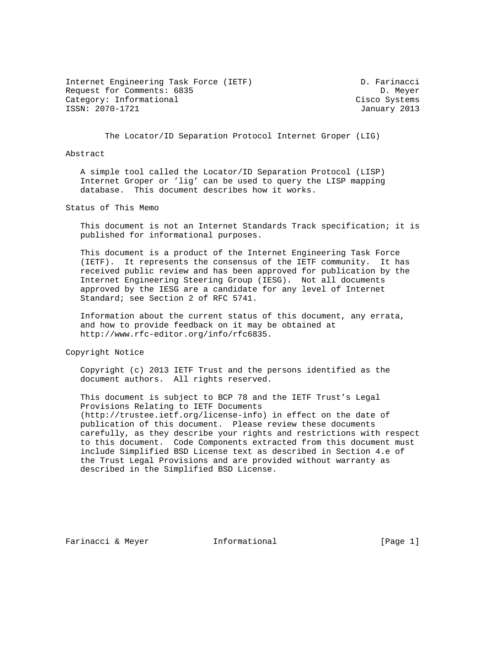Internet Engineering Task Force (IETF) D. Farinacci Request for Comments: 6835 D. Meyer Category: Informational Category: Cisco Systems ISSN: 2070-1721 January 2013

The Locator/ID Separation Protocol Internet Groper (LIG)

## Abstract

 A simple tool called the Locator/ID Separation Protocol (LISP) Internet Groper or 'lig' can be used to query the LISP mapping database. This document describes how it works.

Status of This Memo

 This document is not an Internet Standards Track specification; it is published for informational purposes.

 This document is a product of the Internet Engineering Task Force (IETF). It represents the consensus of the IETF community. It has received public review and has been approved for publication by the Internet Engineering Steering Group (IESG). Not all documents approved by the IESG are a candidate for any level of Internet Standard; see Section 2 of RFC 5741.

 Information about the current status of this document, any errata, and how to provide feedback on it may be obtained at http://www.rfc-editor.org/info/rfc6835.

Copyright Notice

 Copyright (c) 2013 IETF Trust and the persons identified as the document authors. All rights reserved.

 This document is subject to BCP 78 and the IETF Trust's Legal Provisions Relating to IETF Documents (http://trustee.ietf.org/license-info) in effect on the date of publication of this document. Please review these documents carefully, as they describe your rights and restrictions with respect to this document. Code Components extracted from this document must include Simplified BSD License text as described in Section 4.e of the Trust Legal Provisions and are provided without warranty as described in the Simplified BSD License.

Farinacci & Meyer **Informational** [Page 1]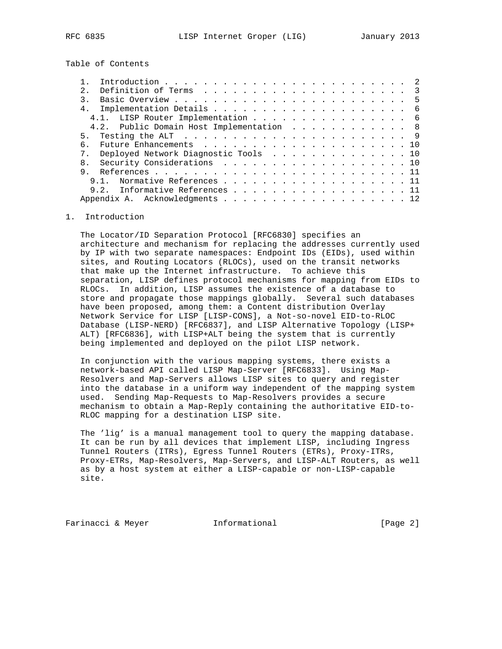Table of Contents

| 4 <sub>1</sub> |                                          |  |  |  |  |  |  |  |  |  |  |  |
|----------------|------------------------------------------|--|--|--|--|--|--|--|--|--|--|--|
|                | 4.1. LISP Router Implementation 6        |  |  |  |  |  |  |  |  |  |  |  |
|                | 4.2. Public Domain Host Implementation 8 |  |  |  |  |  |  |  |  |  |  |  |
| 5 <sub>1</sub> |                                          |  |  |  |  |  |  |  |  |  |  |  |
|                |                                          |  |  |  |  |  |  |  |  |  |  |  |
| $7$ .          | Deployed Network Diagnostic Tools 10     |  |  |  |  |  |  |  |  |  |  |  |
|                | Security Considerations 10               |  |  |  |  |  |  |  |  |  |  |  |
| 9              |                                          |  |  |  |  |  |  |  |  |  |  |  |
|                | Normative References 11                  |  |  |  |  |  |  |  |  |  |  |  |
|                | 9.2. Informative References 11           |  |  |  |  |  |  |  |  |  |  |  |
|                | Appendix A. Acknowledgments 12           |  |  |  |  |  |  |  |  |  |  |  |
|                |                                          |  |  |  |  |  |  |  |  |  |  |  |

## 1. Introduction

 The Locator/ID Separation Protocol [RFC6830] specifies an architecture and mechanism for replacing the addresses currently used by IP with two separate namespaces: Endpoint IDs (EIDs), used within sites, and Routing Locators (RLOCs), used on the transit networks that make up the Internet infrastructure. To achieve this separation, LISP defines protocol mechanisms for mapping from EIDs to RLOCs. In addition, LISP assumes the existence of a database to store and propagate those mappings globally. Several such databases have been proposed, among them: a Content distribution Overlay Network Service for LISP [LISP-CONS], a Not-so-novel EID-to-RLOC Database (LISP-NERD) [RFC6837], and LISP Alternative Topology (LISP+ ALT) [RFC6836], with LISP+ALT being the system that is currently being implemented and deployed on the pilot LISP network.

 In conjunction with the various mapping systems, there exists a network-based API called LISP Map-Server [RFC6833]. Using Map- Resolvers and Map-Servers allows LISP sites to query and register into the database in a uniform way independent of the mapping system used. Sending Map-Requests to Map-Resolvers provides a secure mechanism to obtain a Map-Reply containing the authoritative EID-to- RLOC mapping for a destination LISP site.

 The 'lig' is a manual management tool to query the mapping database. It can be run by all devices that implement LISP, including Ingress Tunnel Routers (ITRs), Egress Tunnel Routers (ETRs), Proxy-ITRs, Proxy-ETRs, Map-Resolvers, Map-Servers, and LISP-ALT Routers, as well as by a host system at either a LISP-capable or non-LISP-capable site.

Farinacci & Meyer **Informational** [Page 2]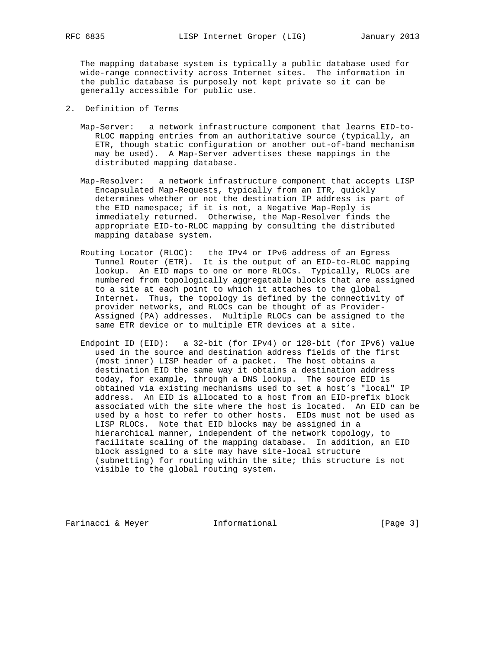The mapping database system is typically a public database used for wide-range connectivity across Internet sites. The information in the public database is purposely not kept private so it can be generally accessible for public use.

- 2. Definition of Terms
	- Map-Server: a network infrastructure component that learns EID-to- RLOC mapping entries from an authoritative source (typically, an ETR, though static configuration or another out-of-band mechanism may be used). A Map-Server advertises these mappings in the distributed mapping database.
	- Map-Resolver: a network infrastructure component that accepts LISP Encapsulated Map-Requests, typically from an ITR, quickly determines whether or not the destination IP address is part of the EID namespace; if it is not, a Negative Map-Reply is immediately returned. Otherwise, the Map-Resolver finds the appropriate EID-to-RLOC mapping by consulting the distributed mapping database system.
	- Routing Locator (RLOC): the IPv4 or IPv6 address of an Egress Tunnel Router (ETR). It is the output of an EID-to-RLOC mapping lookup. An EID maps to one or more RLOCs. Typically, RLOCs are numbered from topologically aggregatable blocks that are assigned to a site at each point to which it attaches to the global Internet. Thus, the topology is defined by the connectivity of provider networks, and RLOCs can be thought of as Provider- Assigned (PA) addresses. Multiple RLOCs can be assigned to the same ETR device or to multiple ETR devices at a site.
	- Endpoint ID (EID): a 32-bit (for IPv4) or 128-bit (for IPv6) value used in the source and destination address fields of the first (most inner) LISP header of a packet. The host obtains a destination EID the same way it obtains a destination address today, for example, through a DNS lookup. The source EID is obtained via existing mechanisms used to set a host's "local" IP address. An EID is allocated to a host from an EID-prefix block associated with the site where the host is located. An EID can be used by a host to refer to other hosts. EIDs must not be used as LISP RLOCs. Note that EID blocks may be assigned in a hierarchical manner, independent of the network topology, to facilitate scaling of the mapping database. In addition, an EID block assigned to a site may have site-local structure (subnetting) for routing within the site; this structure is not visible to the global routing system.

Farinacci & Meyer **Informational** [Page 3]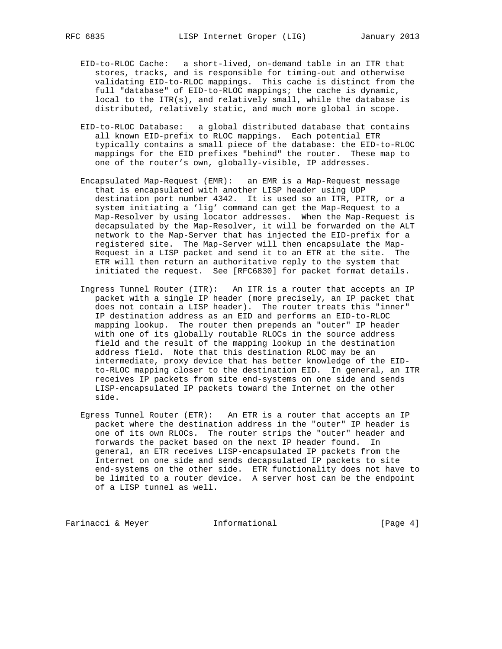- EID-to-RLOC Cache: a short-lived, on-demand table in an ITR that stores, tracks, and is responsible for timing-out and otherwise validating EID-to-RLOC mappings. This cache is distinct from the full "database" of EID-to-RLOC mappings; the cache is dynamic, local to the ITR(s), and relatively small, while the database is distributed, relatively static, and much more global in scope.
- EID-to-RLOC Database: a global distributed database that contains all known EID-prefix to RLOC mappings. Each potential ETR typically contains a small piece of the database: the EID-to-RLOC mappings for the EID prefixes "behind" the router. These map to one of the router's own, globally-visible, IP addresses.
- Encapsulated Map-Request (EMR): an EMR is a Map-Request message that is encapsulated with another LISP header using UDP destination port number 4342. It is used so an ITR, PITR, or a system initiating a 'lig' command can get the Map-Request to a Map-Resolver by using locator addresses. When the Map-Request is decapsulated by the Map-Resolver, it will be forwarded on the ALT network to the Map-Server that has injected the EID-prefix for a registered site. The Map-Server will then encapsulate the Map- Request in a LISP packet and send it to an ETR at the site. The ETR will then return an authoritative reply to the system that initiated the request. See [RFC6830] for packet format details.
- Ingress Tunnel Router (ITR): An ITR is a router that accepts an IP packet with a single IP header (more precisely, an IP packet that does not contain a LISP header). The router treats this "inner" IP destination address as an EID and performs an EID-to-RLOC mapping lookup. The router then prepends an "outer" IP header with one of its globally routable RLOCs in the source address field and the result of the mapping lookup in the destination address field. Note that this destination RLOC may be an intermediate, proxy device that has better knowledge of the EID to-RLOC mapping closer to the destination EID. In general, an ITR receives IP packets from site end-systems on one side and sends LISP-encapsulated IP packets toward the Internet on the other side.
- Egress Tunnel Router (ETR): An ETR is a router that accepts an IP packet where the destination address in the "outer" IP header is one of its own RLOCs. The router strips the "outer" header and forwards the packet based on the next IP header found. In general, an ETR receives LISP-encapsulated IP packets from the Internet on one side and sends decapsulated IP packets to site end-systems on the other side. ETR functionality does not have to be limited to a router device. A server host can be the endpoint of a LISP tunnel as well.

Farinacci & Meyer **Informational** [Page 4]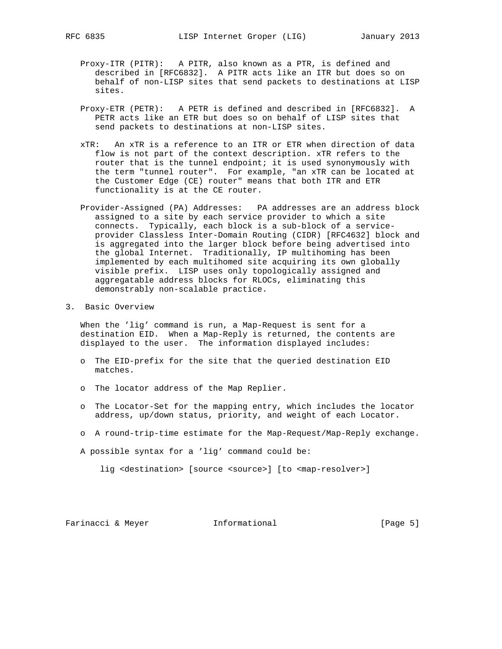- Proxy-ITR (PITR): A PITR, also known as a PTR, is defined and described in [RFC6832]. A PITR acts like an ITR but does so on behalf of non-LISP sites that send packets to destinations at LISP sites.
- Proxy-ETR (PETR): A PETR is defined and described in [RFC6832]. A PETR acts like an ETR but does so on behalf of LISP sites that send packets to destinations at non-LISP sites.
- xTR: An xTR is a reference to an ITR or ETR when direction of data flow is not part of the context description. xTR refers to the router that is the tunnel endpoint; it is used synonymously with the term "tunnel router". For example, "an xTR can be located at the Customer Edge (CE) router" means that both ITR and ETR functionality is at the CE router.
- Provider-Assigned (PA) Addresses: PA addresses are an address block assigned to a site by each service provider to which a site connects. Typically, each block is a sub-block of a service provider Classless Inter-Domain Routing (CIDR) [RFC4632] block and is aggregated into the larger block before being advertised into the global Internet. Traditionally, IP multihoming has been implemented by each multihomed site acquiring its own globally visible prefix. LISP uses only topologically assigned and aggregatable address blocks for RLOCs, eliminating this demonstrably non-scalable practice.
- 3. Basic Overview

 When the 'lig' command is run, a Map-Request is sent for a destination EID. When a Map-Reply is returned, the contents are displayed to the user. The information displayed includes:

- o The EID-prefix for the site that the queried destination EID matches.
- o The locator address of the Map Replier.
- o The Locator-Set for the mapping entry, which includes the locator address, up/down status, priority, and weight of each Locator.
- o A round-trip-time estimate for the Map-Request/Map-Reply exchange.

A possible syntax for a 'lig' command could be:

lig <destination> [source <source>] [to <map-resolver>]

Farinacci & Meyer **Informational** [Page 5]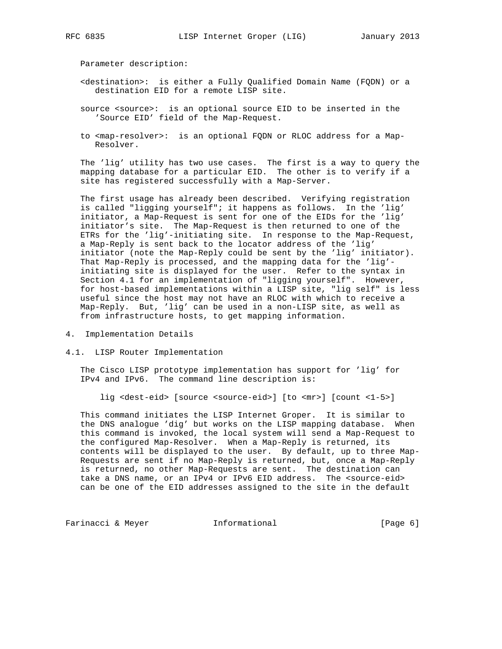Parameter description:

- <destination>: is either a Fully Qualified Domain Name (FQDN) or a destination EID for a remote LISP site.
- source <source>: is an optional source EID to be inserted in the 'Source EID' field of the Map-Request.
- to <map-resolver>: is an optional FQDN or RLOC address for a Map- Resolver.

 The 'lig' utility has two use cases. The first is a way to query the mapping database for a particular EID. The other is to verify if a site has registered successfully with a Map-Server.

 The first usage has already been described. Verifying registration is called "ligging yourself"; it happens as follows. In the 'lig' initiator, a Map-Request is sent for one of the EIDs for the 'lig' initiator's site. The Map-Request is then returned to one of the ETRs for the 'lig'-initiating site. In response to the Map-Request, a Map-Reply is sent back to the locator address of the 'lig' initiator (note the Map-Reply could be sent by the 'lig' initiator). That Map-Reply is processed, and the mapping data for the 'lig' initiating site is displayed for the user. Refer to the syntax in Section 4.1 for an implementation of "ligging yourself". However, for host-based implementations within a LISP site, "lig self" is less useful since the host may not have an RLOC with which to receive a Map-Reply. But, 'lig' can be used in a non-LISP site, as well as from infrastructure hosts, to get mapping information.

- 4. Implementation Details
- 4.1. LISP Router Implementation

 The Cisco LISP prototype implementation has support for 'lig' for IPv4 and IPv6. The command line description is:

lig <dest-eid> [source <source-eid>] [to <mr>] [count <1-5>]

 This command initiates the LISP Internet Groper. It is similar to the DNS analogue 'dig' but works on the LISP mapping database. When this command is invoked, the local system will send a Map-Request to the configured Map-Resolver. When a Map-Reply is returned, its contents will be displayed to the user. By default, up to three Map- Requests are sent if no Map-Reply is returned, but, once a Map-Reply is returned, no other Map-Requests are sent. The destination can take a DNS name, or an IPv4 or IPv6 EID address. The <source-eid> can be one of the EID addresses assigned to the site in the default

Farinacci & Meyer **Informational** [Page 6]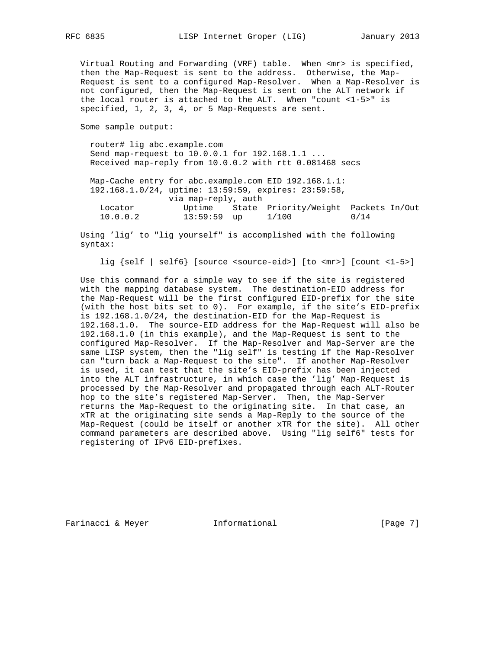Virtual Routing and Forwarding (VRF) table. When <mr> is specified, then the Map-Request is sent to the address. Otherwise, the Map- Request is sent to a configured Map-Resolver. When a Map-Resolver is not configured, then the Map-Request is sent on the ALT network if the local router is attached to the ALT. When "count <1-5>" is specified, 1, 2, 3, 4, or 5 Map-Requests are sent.

Some sample output:

 router# lig abc.example.com Send map-request to 10.0.0.1 for 192.168.1.1 ... Received map-reply from 10.0.0.2 with rtt 0.081468 secs

 Map-Cache entry for abc.example.com EID 192.168.1.1: 192.168.1.0/24, uptime: 13:59:59, expires: 23:59:58, via map-reply, auth Locator Uptime State Priority/Weight Packets In/Out 10.0.0.2 13:59:59 up 1/100 0/14

 Using 'lig' to "lig yourself" is accomplished with the following syntax:

lig {self | self6} [source <source-eid>] [to <mr>] [count <1-5>]

 Use this command for a simple way to see if the site is registered with the mapping database system. The destination-EID address for the Map-Request will be the first configured EID-prefix for the site (with the host bits set to 0). For example, if the site's EID-prefix is 192.168.1.0/24, the destination-EID for the Map-Request is 192.168.1.0. The source-EID address for the Map-Request will also be 192.168.1.0 (in this example), and the Map-Request is sent to the configured Map-Resolver. If the Map-Resolver and Map-Server are the same LISP system, then the "lig self" is testing if the Map-Resolver can "turn back a Map-Request to the site". If another Map-Resolver is used, it can test that the site's EID-prefix has been injected into the ALT infrastructure, in which case the 'lig' Map-Request is processed by the Map-Resolver and propagated through each ALT-Router hop to the site's registered Map-Server. Then, the Map-Server returns the Map-Request to the originating site. In that case, an xTR at the originating site sends a Map-Reply to the source of the Map-Request (could be itself or another xTR for the site). All other command parameters are described above. Using "lig self6" tests for registering of IPv6 EID-prefixes.

Farinacci & Meyer **Informational** [Page 7]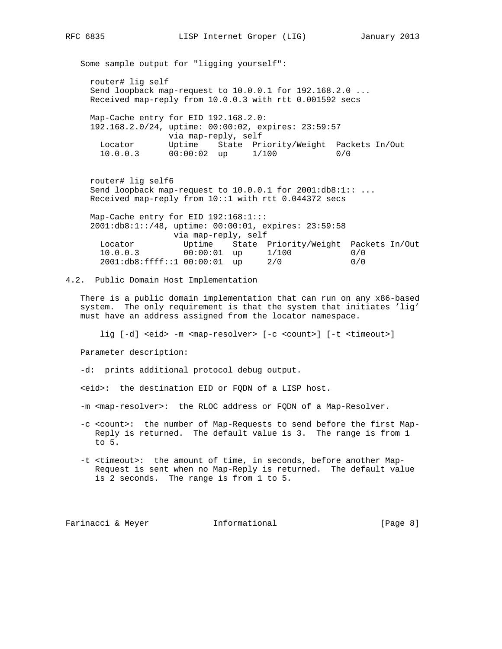Some sample output for "ligging yourself":

 router# lig self Send loopback map-request to 10.0.0.1 for 192.168.2.0 ... Received map-reply from 10.0.0.3 with rtt 0.001592 secs

 Map-Cache entry for EID 192.168.2.0: 192.168.2.0/24, uptime: 00:00:02, expires: 23:59:57 via map-reply, self Locator Uptime State Priority/Weight Packets In/Out 10.0.0.3 00:00:02 up 1/100 0/0 00:00:02 up 1/100 0/0

 router# lig self6 Send loopback map-request to 10.0.0.1 for 2001:db8:1:: ... Received map-reply from 10::1 with rtt 0.044372 secs

 Map-Cache entry for EID 192:168:1::: 2001:db8:1::/48, uptime: 00:00:01, expires: 23:59:58 via map-reply, self Locator Uptime State Priority/Weight Packets In/Out<br>10.0.0.3 00:00:01 up 1/100 0/0 00:00:01 up 1/100 0/0<br>00:00:01 up 2/0 0/0 2001:db8:ffff::1 00:00:01 up 2/0 0/0

4.2. Public Domain Host Implementation

 There is a public domain implementation that can run on any x86-based system. The only requirement is that the system that initiates 'lig' must have an address assigned from the locator namespace.

lig [-d] <eid> -m <map-resolver> [-c <count>] [-t <timeout>]

Parameter description:

-d: prints additional protocol debug output.

<eid>: the destination EID or FQDN of a LISP host.

-m <map-resolver>: the RLOC address or FQDN of a Map-Resolver.

- -c <count>: the number of Map-Requests to send before the first Map- Reply is returned. The default value is 3. The range is from 1 to 5.
- -t <timeout>: the amount of time, in seconds, before another Map- Request is sent when no Map-Reply is returned. The default value is 2 seconds. The range is from 1 to 5.

Farinacci & Meyer **Informational** [Page 8]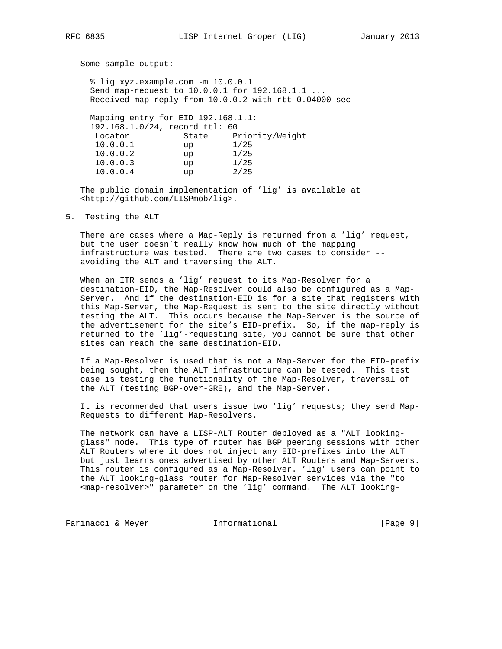Some sample output:

 % lig xyz.example.com -m 10.0.0.1 Send map-request to 10.0.0.1 for 192.168.1.1 ... Received map-reply from 10.0.0.2 with rtt 0.04000 sec Mapping entry for EID 192.168.1.1: 192.168.1.0/24, record ttl: 60 Locator State Priority/Weight 10.0.0.1 up 1/25 10.0.0.2 up 1/25 10.0.0.3 up 1/25

 The public domain implementation of 'lig' is available at <http://github.com/LISPmob/lig>.

10.0.0.4 up 2/25

5. Testing the ALT

 There are cases where a Map-Reply is returned from a 'lig' request, but the user doesn't really know how much of the mapping infrastructure was tested. There are two cases to consider - avoiding the ALT and traversing the ALT.

 When an ITR sends a 'lig' request to its Map-Resolver for a destination-EID, the Map-Resolver could also be configured as a Map- Server. And if the destination-EID is for a site that registers with this Map-Server, the Map-Request is sent to the site directly without testing the ALT. This occurs because the Map-Server is the source of the advertisement for the site's EID-prefix. So, if the map-reply is returned to the 'lig'-requesting site, you cannot be sure that other sites can reach the same destination-EID.

 If a Map-Resolver is used that is not a Map-Server for the EID-prefix being sought, then the ALT infrastructure can be tested. This test case is testing the functionality of the Map-Resolver, traversal of the ALT (testing BGP-over-GRE), and the Map-Server.

 It is recommended that users issue two 'lig' requests; they send Map- Requests to different Map-Resolvers.

 The network can have a LISP-ALT Router deployed as a "ALT looking glass" node. This type of router has BGP peering sessions with other ALT Routers where it does not inject any EID-prefixes into the ALT but just learns ones advertised by other ALT Routers and Map-Servers. This router is configured as a Map-Resolver. 'lig' users can point to the ALT looking-glass router for Map-Resolver services via the "to <map-resolver>" parameter on the 'lig' command. The ALT looking-

Farinacci & Meyer **Informational** [Page 9]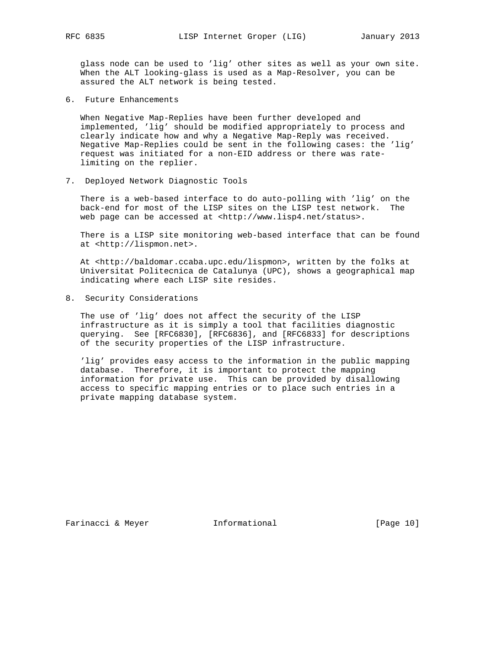glass node can be used to 'lig' other sites as well as your own site. When the ALT looking-glass is used as a Map-Resolver, you can be assured the ALT network is being tested.

6. Future Enhancements

 When Negative Map-Replies have been further developed and implemented, 'lig' should be modified appropriately to process and clearly indicate how and why a Negative Map-Reply was received. Negative Map-Replies could be sent in the following cases: the 'lig' request was initiated for a non-EID address or there was rate limiting on the replier.

7. Deployed Network Diagnostic Tools

 There is a web-based interface to do auto-polling with 'lig' on the back-end for most of the LISP sites on the LISP test network. The web page can be accessed at <http://www.lisp4.net/status>.

 There is a LISP site monitoring web-based interface that can be found at <http://lispmon.net>.

 At <http://baldomar.ccaba.upc.edu/lispmon>, written by the folks at Universitat Politecnica de Catalunya (UPC), shows a geographical map indicating where each LISP site resides.

8. Security Considerations

 The use of 'lig' does not affect the security of the LISP infrastructure as it is simply a tool that facilities diagnostic querying. See [RFC6830], [RFC6836], and [RFC6833] for descriptions of the security properties of the LISP infrastructure.

 'lig' provides easy access to the information in the public mapping database. Therefore, it is important to protect the mapping information for private use. This can be provided by disallowing access to specific mapping entries or to place such entries in a private mapping database system.

Farinacci & Meyer **Informational** [Page 10]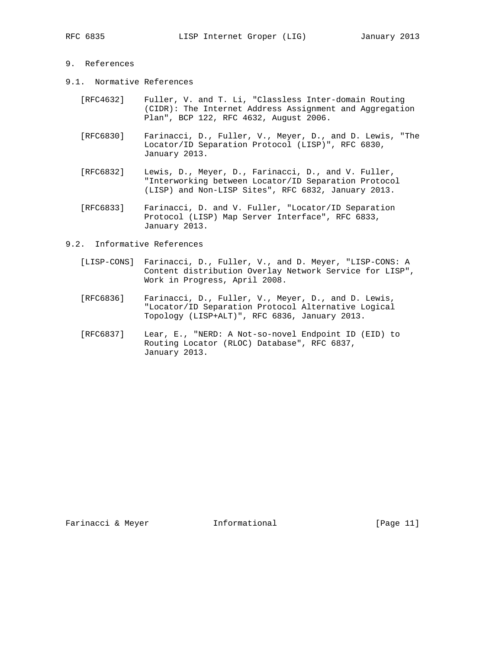## 9. References

- 9.1. Normative References
	- [RFC4632] Fuller, V. and T. Li, "Classless Inter-domain Routing (CIDR): The Internet Address Assignment and Aggregation Plan", BCP 122, RFC 4632, August 2006.
	- [RFC6830] Farinacci, D., Fuller, V., Meyer, D., and D. Lewis, "The Locator/ID Separation Protocol (LISP)", RFC 6830, January 2013.
	- [RFC6832] Lewis, D., Meyer, D., Farinacci, D., and V. Fuller, "Interworking between Locator/ID Separation Protocol (LISP) and Non-LISP Sites", RFC 6832, January 2013.
	- [RFC6833] Farinacci, D. and V. Fuller, "Locator/ID Separation Protocol (LISP) Map Server Interface", RFC 6833, January 2013.

## 9.2. Informative References

- [LISP-CONS] Farinacci, D., Fuller, V., and D. Meyer, "LISP-CONS: A Content distribution Overlay Network Service for LISP", Work in Progress, April 2008.
- [RFC6836] Farinacci, D., Fuller, V., Meyer, D., and D. Lewis, "Locator/ID Separation Protocol Alternative Logical Topology (LISP+ALT)", RFC 6836, January 2013.
- [RFC6837] Lear, E., "NERD: A Not-so-novel Endpoint ID (EID) to Routing Locator (RLOC) Database", RFC 6837, January 2013.

Farinacci & Meyer **Informational** [Page 11]